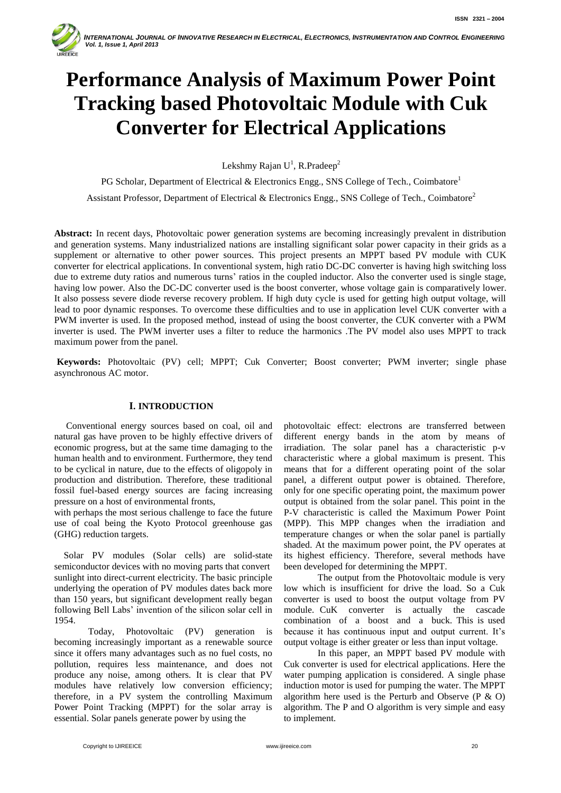

# **Performance Analysis of Maximum Power Point Tracking based Photovoltaic Module with Cuk Converter for Electrical Applications**

Lekshmy Rajan  $U^1$ , R.Pradeep<sup>2</sup>

PG Scholar, Department of Electrical & Electronics Engg., SNS College of Tech., Coimbatore<sup>1</sup>

Assistant Professor, Department of Electrical & Electronics Engg., SNS College of Tech., Coimbatore<sup>2</sup>

**Abstract:** In recent days, Photovoltaic power generation systems are becoming increasingly prevalent in distribution and generation systems. Many industrialized nations are installing significant solar power capacity in their grids as a supplement or alternative to other power sources. This project presents an MPPT based PV module with CUK converter for electrical applications. In conventional system, high ratio DC-DC converter is having high switching loss due to extreme duty ratios and numerous turns' ratios in the coupled inductor. Also the converter used is single stage, having low power. Also the DC-DC converter used is the boost converter, whose voltage gain is comparatively lower. It also possess severe diode reverse recovery problem. If high duty cycle is used for getting high output voltage, will lead to poor dynamic responses. To overcome these difficulties and to use in application level CUK converter with a PWM inverter is used. In the proposed method, instead of using the boost converter, the CUK converter with a PWM inverter is used. The PWM inverter uses a filter to reduce the harmonics .The PV model also uses MPPT to track maximum power from the panel.

**Keywords:** Photovoltaic (PV) cell; MPPT; Cuk Converter; Boost converter; PWM inverter; single phase asynchronous AC motor.

# **I. INTRODUCTION**

 Conventional energy sources based on coal, oil and natural gas have proven to be highly effective drivers of economic progress, but at the same time damaging to the human health and to environment. Furthermore, they tend to be cyclical in nature, due to the effects of oligopoly in production and distribution. Therefore, these traditional fossil fuel-based energy sources are facing increasing pressure on a host of environmental fronts,

with perhaps the most serious challenge to face the future use of coal being the Kyoto Protocol greenhouse gas (GHG) reduction targets.

 Solar PV modules (Solar cells) are solid-state semiconductor devices with no moving parts that convert sunlight into direct-current electricity. The basic principle underlying the operation of PV modules dates back more than 150 years, but significant development really began following Bell Labs' invention of the silicon solar cell in 1954.

Today, Photovoltaic (PV) generation is becoming increasingly important as a renewable source since it offers many advantages such as no fuel costs, no pollution, requires less maintenance, and does not produce any noise, among others. It is clear that PV modules have relatively low conversion efficiency; therefore, in a PV system the controlling Maximum Power Point Tracking (MPPT) for the solar array is essential. Solar panels generate power by using the

photovoltaic effect: electrons are transferred between different energy bands in the atom by means of irradiation. The solar panel has a characteristic p-v characteristic where a global maximum is present. This means that for a different operating point of the solar panel, a different output power is obtained. Therefore, only for one specific operating point, the maximum power output is obtained from the solar panel. This point in the P-V characteristic is called the Maximum Power Point (MPP). This MPP changes when the irradiation and temperature changes or when the solar panel is partially shaded. At the maximum power point, the PV operates at its highest efficiency. Therefore, several methods have been developed for determining the MPPT.

The output from the Photovoltaic module is very low which is insufficient for drive the load. So a Cuk converter is used to boost the output voltage from PV module. CuK converter is actually the cascade combination of a boost and a buck. This is used because it has continuous input and output current. It's output voltage is either greater or less than input voltage.

In this paper, an MPPT based PV module with Cuk converter is used for electrical applications. Here the water pumping application is considered. A single phase induction motor is used for pumping the water. The MPPT algorithm here used is the Perturb and Observe (P & O) algorithm. The P and O algorithm is very simple and easy to implement.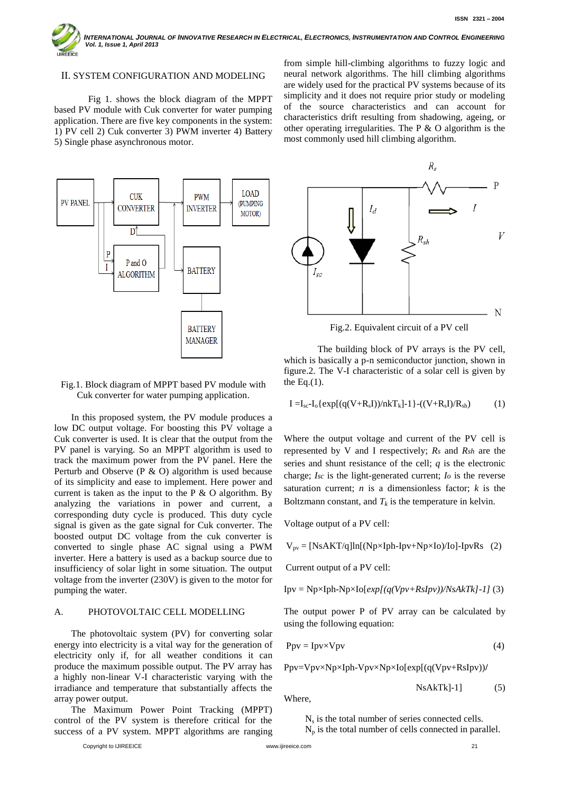INTERNATIONAL JOURNAL OF INNOVATIVE RESEARCH IN ELECTRICAL, ELECTRONICS, INSTRUMENTATION AND CONTROL ENGINEERING  *Vol. 1, Issue 1, April 2013* FFICE

#### II. SYSTEM CONFIGURATION AND MODELING

Fig 1. shows the block diagram of the MPPT based PV module with Cuk converter for water pumping application. There are five key components in the system: 1) PV cell 2) Cuk converter 3) PWM inverter 4) Battery 5) Single phase asynchronous motor.



## Fig.1. Block diagram of MPPT based PV module with Cuk converter for water pumping application.

In this proposed system, the PV module produces a low DC output voltage. For boosting this PV voltage a Cuk converter is used. It is clear that the output from the PV panel is varying. So an MPPT algorithm is used to track the maximum power from the PV panel. Here the Perturb and Observe (P  $\&$  O) algorithm is used because of its simplicity and ease to implement. Here power and current is taken as the input to the  $P \& O$  algorithm. By analyzing the variations in power and current, a corresponding duty cycle is produced. This duty cycle signal is given as the gate signal for Cuk converter. The boosted output DC voltage from the cuk converter is converted to single phase AC signal using a PWM inverter. Here a battery is used as a backup source due to insufficiency of solar light in some situation. The output voltage from the inverter (230V) is given to the motor for pumping the water.

# A. PHOTOVOLTAIC CELL MODELLING

The photovoltaic system (PV) for converting solar energy into electricity is a vital way for the generation of electricity only if, for all weather conditions it can produce the maximum possible output. The PV array has a highly non-linear V-I characteristic varying with the irradiance and temperature that substantially affects the array power output.

The Maximum Power Point Tracking (MPPT) control of the PV system is therefore critical for the success of a PV system. MPPT algorithms are ranging

from simple hill-climbing algorithms to fuzzy logic and neural network algorithms. The hill climbing algorithms are widely used for the practical PV systems because of its simplicity and it does not require prior study or modeling of the source characteristics and can account for characteristics drift resulting from shadowing, ageing, or other operating irregularities. The P & O algorithm is the most commonly used hill climbing algorithm.



Fig.2. Equivalent circuit of a PV cell

The building block of PV arrays is the PV cell, which is basically a p-n semiconductor junction, shown in figure.2. The V-I characteristic of a solar cell is given by the Eq. $(1)$ .

$$
I = I_{sc} - I_0 \{ exp[(q(V+R_s I))/nkT_k] - 1 \} - ((V+R_s I)/R_{sh})
$$
 (1)

Where the output voltage and current of the PV cell is represented by V and I respectively; *Rs* and *Rsh* are the series and shunt resistance of the cell; *q* is the electronic charge; *Isc* is the light-generated current; *Io* is the reverse saturation current; *n* is a dimensionless factor; *k* is the Boltzmann constant, and  $T_k$  is the temperature in kelvin.

Voltage output of a PV cell:

 $V_{pv} = [NsAKT/q]ln[(Np\times Iph-Ipv+Np\times Io)/Io]$ -IpvRs (2)

Current output of a PV cell:

$$
Ipv = Np \times Iph-Np \times Io[exp[(q(Vpv+RsIpv))/NsAkTk]-1]
$$
 (3)

The output power P of PV array can be calculated by using the following equation:

$$
Ppv = IpvxVpv
$$
 (4)

Ppv=Vpv×Np×Iph-Vpv×Np×Io[exp[(q(Vpv+RsIpv))**/** 

$$
NsAkTk]-1]
$$
 (5)

Where,

 $N<sub>s</sub>$  is the total number of series connected cells.  $N_p$  is the total number of cells connected in parallel.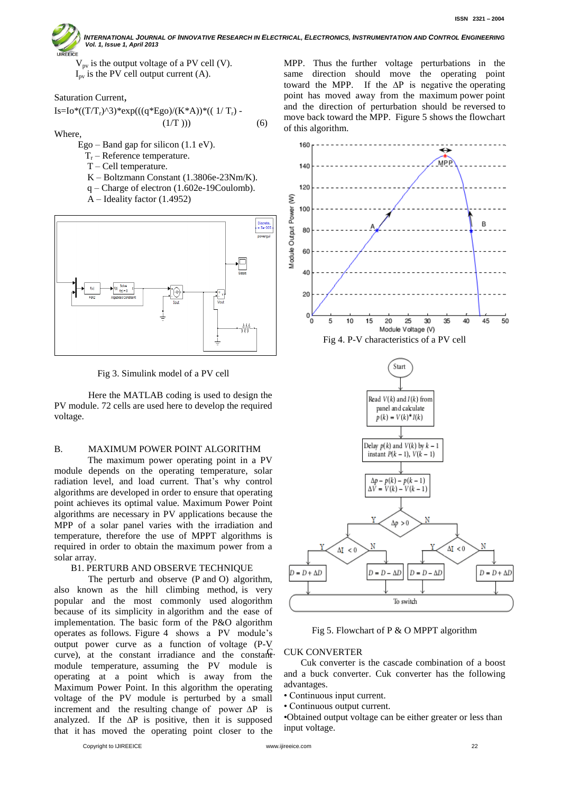

INTERNATIONAL JOURNAL OF INNOVATIVE RESEARCH IN ELECTRICAL, ELECTRONICS, INSTRUMENTATION AND CONTROL ENGINEERING  *Vol. 1, Issue 1, April 2013*

 $V_{\text{pv}}$  is the output voltage of a PV cell (V).  $I_{\text{pv}}$  is the PV cell output current (A).

Saturation Current,

Is=Io\*((T/Tr)^3)\*exp(((q\*Ego)/(K\*A))\*(( 1/ Tr) -

Where,

Ego – Band gap for silicon  $(1.1 \text{ eV})$ .

- $T_r$  Reference temperature.
- T Cell temperature.
- K Boltzmann Constant (1.3806e-23Nm/K).

 $(1/T)$ )) (6)

- q Charge of electron (1.602e-19Coulomb).
- A Ideality factor (1.4952)



Fig 3. Simulink model of a PV cell

Here the MATLAB coding is used to design the PV module. 72 cells are used here to develop the required voltage.

# B. MAXIMUM POWER POINT ALGORITHM

 The maximum power operating point in a PV module depends on the operating temperature, solar radiation level, and load current. That's why control algorithms are developed in order to ensure that operating point achieves its optimal value. Maximum Power Point algorithms are necessary in PV applications because the MPP of a solar panel varies with the irradiation and temperature, therefore the use of MPPT algorithms is required in order to obtain the maximum power from a solar array.

## B1. PERTURB AND OBSERVE TECHNIQUE

The perturb and observe (P and O) algorithm, also known as the hill climbing method, is very popular and the most commonly used alogorithm because of its simplicity in algorithm and the ease of implementation. The basic form of the P&O algorithm operates as follows. Figure 4 shows a PV module's output power curve as a function of voltage (P-V curve), at the constant irradiance and the constant module temperature, assuming the PV module is operating at a point which is away from the Maximum Power Point. In this algorithm the operating voltage of the PV module is perturbed by a small increment and the resulting change of power ∆P is analyzed. If the  $\Delta P$  is positive, then it is supposed that it has moved the operating point closer to the

MPP. Thus the further voltage perturbations in the same direction should move the operating point toward the MPP. If the ∆P is negative the operating point has moved away from the maximum power point and the direction of perturbation should be reversed to move back toward the MPP. Figure 5 shows the flowchart of this algorithm.







Fig 5. Flowchart of P & O MPPT algorithm

#### **CUK CONVERTER**

Cuk converter is the cascade combination of a boost and a buck converter. Cuk converter has the following advantages.

• Continuous input current.

• Continuous output current.

•Obtained output voltage can be either greater or less than input voltage.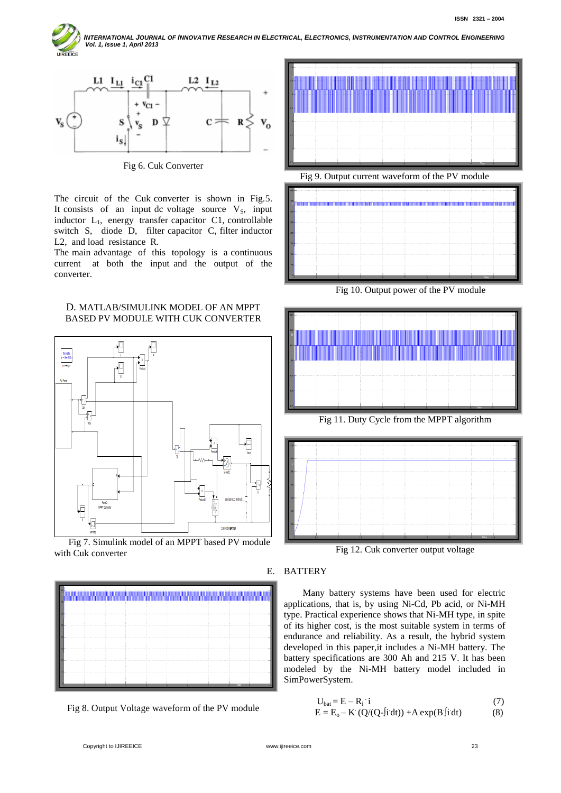INTERNATIONAL JOURNAL OF INNOVATIVE RESEARCH IN ELECTRICAL, ELECTRONICS, INSTRUMENTATION AND CONTROL ENGINEERING  *Vol. 1, Issue 1, April 2013* **JIREEICE** 



Fig 6. Cuk Converter

The circuit of the Cuk converter is shown in Fig.5. It consists of an input dc voltage source  $V_s$ , input inductor L<sub>1</sub>, energy transfer capacitor C1, controllable switch S, diode D, filter capacitor C, filter inductor L2, and load resistance R.

The main advantage of this topology is a continuous current at both the input and the output of the converter.





 Fig 7. Simulink model of an MPPT based PV module with Cuk converter



Fig 8. Output Voltage waveform of the PV module





Fig 10. Output power of the PV module







Fig 12. Cuk converter output voltage

# E. BATTERY

 Many battery systems have been used for electric applications, that is, by using Ni-Cd, Pb acid, or Ni-MH type. Practical experience shows that Ni-MH type, in spite of its higher cost, is the most suitable system in terms of endurance and reliability. As a result, the hybrid system developed in this paper,it includes a Ni-MH battery. The battery specifications are 300 Ah and 215 V. It has been modeled by the Ni-MH battery model included in SimPowerSystem.

$$
U_{\text{bat}} = E - R_i \quad i \tag{7}
$$

$$
E = Eo - K (Q/(Q-fi dt)) + A exp(B f i dt)
$$
 (8)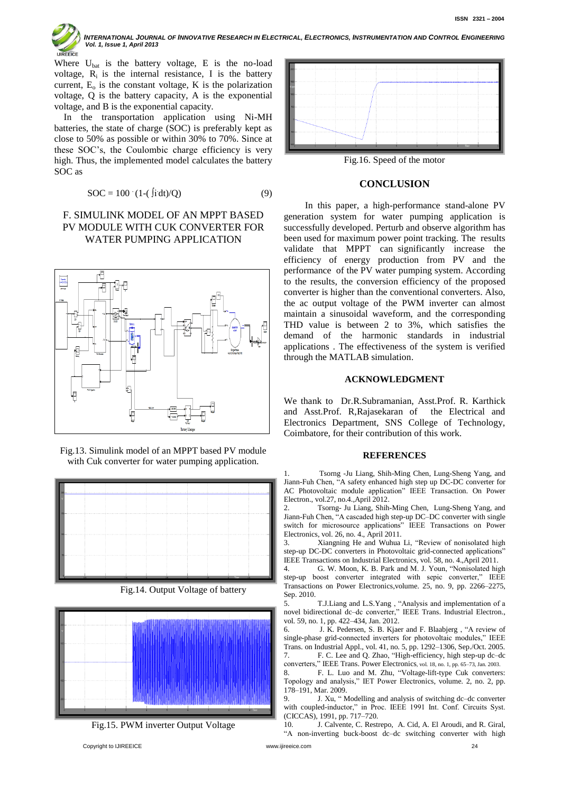

INTERNATIONAL JOURNAL OF INNOVATIVE RESEARCH IN ELECTRICAL, ELECTRONICS, INSTRUMENTATION AND CONTROL ENGINEERING  *Vol. 1, Issue 1, April 2013*

Where  $U_{bat}$  is the battery voltage, E is the no-load voltage,  $R_i$  is the internal resistance, I is the battery current,  $E_0$  is the constant voltage, K is the polarization voltage, Q is the battery capacity, A is the exponential voltage, and B is the exponential capacity.

 In the transportation application using Ni-MH batteries, the state of charge (SOC) is preferably kept as close to 50% as possible or within 30% to 70%. Since at these SOC's, the Coulombic charge efficiency is very high. Thus, the implemented model calculates the battery SOC as

$$
SOC = 100 \cdot (1 - (\text{fidt})/Q) \tag{9}
$$

# F. SIMULINK MODEL OF AN MPPT BASED PV MODULE WITH CUK CONVERTER FOR WATER PUMPING APPLICATION



Fig.13. Simulink model of an MPPT based PV module with Cuk converter for water pumping application.



Fig.14. Output Voltage of battery



Fig.15. PWM inverter Output Voltage



Fig.16. Speed of the motor

# **CONCLUSION**

 In this paper, a high-performance stand-alone PV generation system for water pumping application is successfully developed. Perturb and observe algorithm has been used for maximum power point tracking. The results validate that MPPT can significantly increase the efficiency of energy production from PV and the performance of the PV water pumping system. According to the results, the conversion efficiency of the proposed converter is higher than the conventional converters. Also, the ac output voltage of the PWM inverter can almost maintain a sinusoidal waveform, and the corresponding THD value is between 2 to 3%, which satisfies the demand of the harmonic standards in industrial applications . The effectiveness of the system is verified through the MATLAB simulation.

## **ACKNOWLEDGMENT**

We thank to Dr.R.Subramanian, Asst.Prof. R. Karthick and Asst.Prof. R,Rajasekaran of the Electrical and Electronics Department, SNS College of Technology, Coimbatore, for their contribution of this work.

#### **REFERENCES**

1. Tsorng -Ju Liang, Shih-Ming Chen, Lung-Sheng Yang, and Jiann-Fuh Chen, "A safety enhanced high step up DC-DC converter for AC Photovoltaic module application" IEEE Transaction. On Power Electron., vol.27, no.4.,April 2012.

Tsorng- Ju Liang, Shih-Ming Chen, Lung-Sheng Yang, and Jiann-Fuh Chen, "A cascaded high step-up DC–DC converter with single switch for microsource applications" IEEE Transactions on Power Electronics, vol. 26, no. 4., April 2011.

3. Xiangning He and Wuhua Li, "Review of nonisolated high step-up DC-DC converters in Photovoltaic grid-connected applications" IEEE Transactions on Industrial Electronics, vol. 58, no. 4.,April 2011.

4. G. W. Moon, K. B. Park and M. J. Youn, "Nonisolated high step-up boost converter integrated with sepic converter," IEEE Transactions on Power Electronics,volume. 25, no. 9, pp. 2266–2275, Sep. 2010.

5. T.J.Liang and L.S.Yang , "Analysis and implementation of a novel bidirectional dc–dc converter," IEEE Trans. Industrial Electron., vol. 59, no. 1, pp. 422–434, Jan. 2012.

6. J. K. Pedersen, S. B. Kjaer and F. Blaabjerg , "A review of single-phase grid-connected inverters for photovoltaic modules," IEEE Trans. on Industrial Appl., vol. 41, no. 5, pp. 1292–1306, Sep./Oct. 2005. 7. F. C. Lee and Q. Zhao, "High-efficiency, high step-up dc–dc

converters," IEEE Trans. Power Electronics, vol. 18, no. 1, pp. 65–73, Jan. 2003. 8. F. L. Luo and M. Zhu, "Voltage-lift-type Cuk converters:

Topology and analysis," IET Power Electronics, volume. 2, no. 2, pp. 178–191, Mar. 2009.

9. J. Xu, " Modelling and analysis of switching dc–dc converter with coupled-inductor," in Proc. IEEE 1991 Int. Conf. Circuits Syst. (CICCAS), 1991, pp. 717–720.

10. J. Calvente, C. Restrepo, A. Cid, A. El Aroudi, and R. Giral, "A non-inverting buck-boost dc–dc switching converter with high